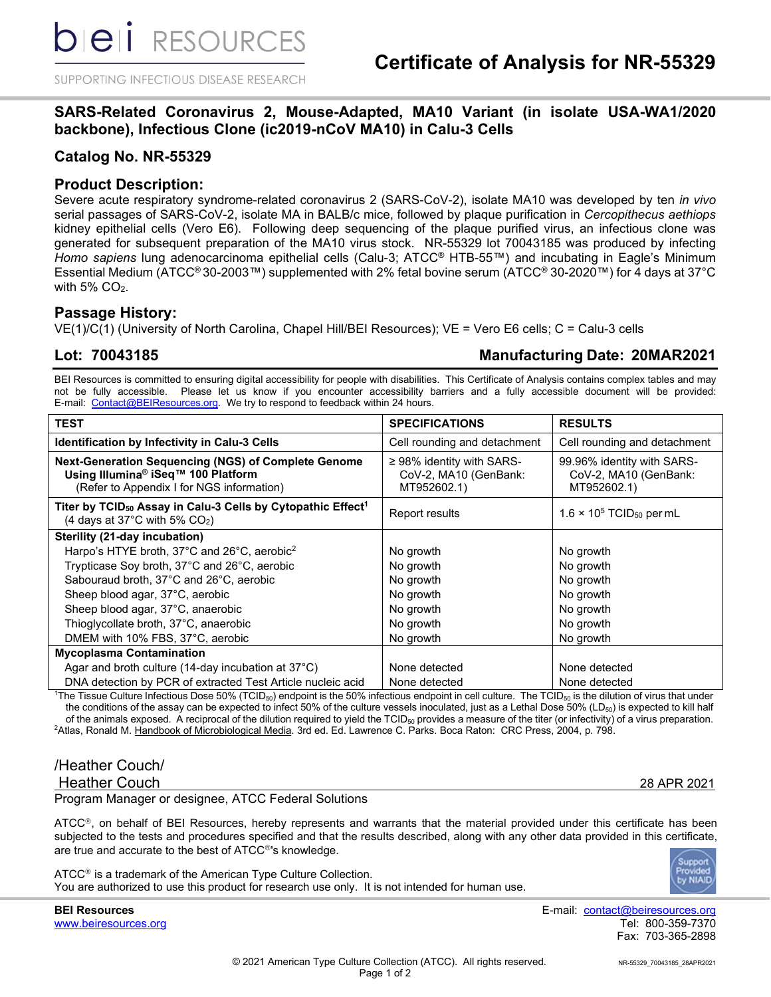SUPPORTING INFECTIOUS DISEASE RESEARCH

# **SARS-Related Coronavirus 2, Mouse-Adapted, MA10 Variant (in isolate USA-WA1/2020 backbone), Infectious Clone (ic2019-nCoV MA10) in Calu-3 Cells**

# **Catalog No. NR-55329**

### **Product Description:**

Severe acute respiratory syndrome-related coronavirus 2 (SARS-CoV-2), isolate MA10 was developed by ten *in vivo* serial passages of SARS-CoV-2, isolate MA in BALB/c mice, followed by plaque purification in *Cercopithecus aethiops* kidney epithelial cells (Vero E6). Following deep sequencing of the plaque purified virus, an infectious clone was generated for subsequent preparation of the MA10 virus stock. NR-55329 lot 70043185 was produced by infecting *Homo sapiens* lung adenocarcinoma epithelial cells (Calu-3; ATCC® HTB-55™) and incubating in Eagle's Minimum Essential Medium (ATCC® 30-2003™) supplemented with 2% fetal bovine serum (ATCC® 30-2020™) for 4 days at 37°C with  $5\%$  CO<sub>2</sub>.

### **Passage History:**

VE(1)/C(1) (University of North Carolina, Chapel Hill/BEI Resources); VE = Vero E6 cells; C = Calu-3 cells

## **Lot: 70043185 Manufacturing Date: 20MAR2021**

BEI Resources is committed to ensuring digital accessibility for people with disabilities. This Certificate of Analysis contains complex tables and may not be fully accessible. Please let us know if you encounter accessibility barriers and a fully accessible document will be provided: E-mail: [Contact@BEIResources.org.](mailto:contact@BEIResources.org) We try to respond to feedback within 24 hours.

| <b>TEST</b>                                                                                                                                        | <b>SPECIFICATIONS</b>                                                  | <b>RESULTS</b>                                                     |
|----------------------------------------------------------------------------------------------------------------------------------------------------|------------------------------------------------------------------------|--------------------------------------------------------------------|
| Identification by Infectivity in Calu-3 Cells                                                                                                      | Cell rounding and detachment                                           | Cell rounding and detachment                                       |
| Next-Generation Sequencing (NGS) of Complete Genome<br>Using Illumina <sup>®</sup> iSeq™ 100 Platform<br>(Refer to Appendix I for NGS information) | $\geq$ 98% identity with SARS-<br>CoV-2, MA10 (GenBank:<br>MT952602.1) | 99.96% identity with SARS-<br>CoV-2, MA10 (GenBank:<br>MT952602.1) |
| Titer by TCID <sub>50</sub> Assay in Calu-3 Cells by Cytopathic Effect <sup>1</sup><br>(4 days at 37°C with 5% CO2)                                | Report results                                                         | $1.6 \times 10^5$ TCID <sub>50</sub> per mL                        |
| Sterility (21-day incubation)                                                                                                                      |                                                                        |                                                                    |
| Harpo's HTYE broth, 37°C and 26°C, aerobic <sup>2</sup>                                                                                            | No growth                                                              | No growth                                                          |
| Trypticase Soy broth, 37°C and 26°C, aerobic                                                                                                       | No growth                                                              | No growth                                                          |
| Sabouraud broth, 37°C and 26°C, aerobic                                                                                                            | No growth                                                              | No growth                                                          |
| Sheep blood agar, 37°C, aerobic                                                                                                                    | No growth                                                              | No growth                                                          |
| Sheep blood agar, 37°C, anaerobic                                                                                                                  | No growth                                                              | No growth                                                          |
| Thioglycollate broth, 37°C, anaerobic                                                                                                              | No growth                                                              | No growth                                                          |
| DMEM with 10% FBS, 37°C, aerobic                                                                                                                   | No growth                                                              | No growth                                                          |
| <b>Mycoplasma Contamination</b>                                                                                                                    |                                                                        |                                                                    |
| Agar and broth culture (14-day incubation at 37°C)                                                                                                 | None detected                                                          | None detected                                                      |
| DNA detection by PCR of extracted Test Article nucleic acid                                                                                        | None detected                                                          | None detected                                                      |

 $^1$ The Tissue Culture Infectious Dose 50% (TCID $_{50}$ ) endpoint is the 50% infectious endpoint in cell culture. The TCID $_{50}$  is the dilution of virus that under the conditions of the assay can be expected to infect 50% of the culture vessels inoculated, just as a Lethal Dose 50% (LD<sub>50</sub>) is expected to kill half of the animals exposed. A reciprocal of the dilution required to yield the  $TCID_{50}$  provides a measure of the titer (or infectivity) of a virus preparation. <sup>2</sup>Atlas, Ronald M. <u>Handbook of Microbiological Media</u>. 3rd ed. Ed. Lawrence C. Parks. Boca Raton: CRC Press, 2004, p. 798.

# /Heather Couch/

Heather Couch 28 APR 2021

Program Manager or designee, ATCC Federal Solutions

ATCC®, on behalf of BEI Resources, hereby represents and warrants that the material provided under this certificate has been subjected to the tests and procedures specified and that the results described, along with any other data provided in this certificate, are true and accurate to the best of ATCC®'s knowledge.

 $ATCC<sup>®</sup>$  is a trademark of the American Type Culture Collection. You are authorized to use this product for research use only. It is not intended for human use.



www.beiresources.org

**BEI Resources** E-mail: contact@beiresources.org Fax: 703-365-2898